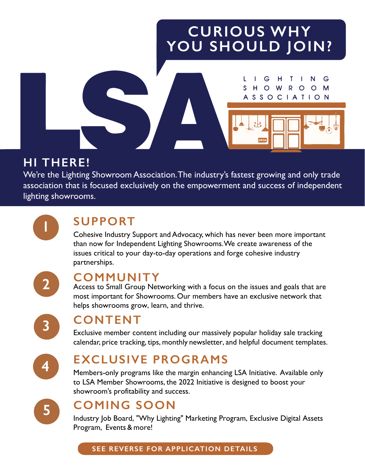# **CURIOUS WHY YOU SHOULD JOIN?**

 $S$ 

G

HOWROO

A S S O C I A T I O N

G

M



We're the Lighting Showroom Association. The industry's fastest growing and only trade association that is focused exclusively on the empowerment and success of independent lighting showrooms.

**1**

## **SUPPORT**

Cohesive Industry Support and Advocacy, which has never been more important than now for Independent Lighting Showrooms. We create awareness of the issues critical to your day-to-day operations and forge cohesive industry partnerships.



### **COMMUNITY**

Access to Small Group Networking with a focus on the issues and goals that are most important for Showrooms. Our members have an exclusive network that helps showrooms grow, learn, and thrive.



### **CONTENT**

Exclusive member content including our massively popular holiday sale tracking calendar, price tracking, tips, monthly newsletter, and helpful document templates.



# **EXCLUSIVE PROGRAMS**

Members-only programs like the margin enhancing LSA Initiative. Available only to LSA Member Showrooms, the 2022 Initiative is designed to boost your showroom's profitability and success.



# **COMING SOON**

Industry Job Board, "Why Lighting" Marketing Program, Exclusive Digital Assets Program, Events & more!

#### **SEE REVERSE FOR APPLICATION DETAILS**